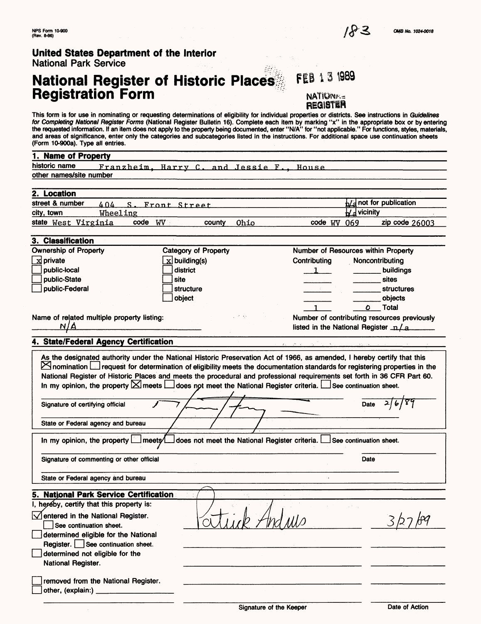# **National Register of Historic Places Registration Form**

FEB 13 1989 NATIONA=

**REGISTER** This form is for use in nominating or requesting determinations of eligibility for individual properties or districts. See instructions in *Guidelines for Completing National Register Forms* (National Register Bulletin 16). Complete each item by marking "x" in the appropriate box or by entering the requested information. If an item does not apply to the property being documented, enter "N/A" for "not applicable." For functions, styles, materials, and areas of significance, enter only the categories and subcategories listed in the instructions. For additional space use continuation sheets

| (Form 10-900a). Type all entries.                                                                                                                                                                                                                                                                                                                                                                                                                                                     |                                     |                                             |
|---------------------------------------------------------------------------------------------------------------------------------------------------------------------------------------------------------------------------------------------------------------------------------------------------------------------------------------------------------------------------------------------------------------------------------------------------------------------------------------|-------------------------------------|---------------------------------------------|
| 1. Name of Property                                                                                                                                                                                                                                                                                                                                                                                                                                                                   |                                     |                                             |
| historic name<br>Franzheim, Harry C. and Jessie F., House                                                                                                                                                                                                                                                                                                                                                                                                                             |                                     |                                             |
| other names/site number                                                                                                                                                                                                                                                                                                                                                                                                                                                               |                                     |                                             |
|                                                                                                                                                                                                                                                                                                                                                                                                                                                                                       |                                     |                                             |
| 2. Location                                                                                                                                                                                                                                                                                                                                                                                                                                                                           |                                     |                                             |
| street & number<br>404 S. Front Street                                                                                                                                                                                                                                                                                                                                                                                                                                                |                                     | $\frac{1}{2}$ not for publication           |
| Wheeling<br>city, town                                                                                                                                                                                                                                                                                                                                                                                                                                                                | $\bigcup$ <i>d</i> vicinity         |                                             |
| code WV<br>state West Virginia<br>Ohio<br>county                                                                                                                                                                                                                                                                                                                                                                                                                                      | code WV 069                         | zip code 26003                              |
|                                                                                                                                                                                                                                                                                                                                                                                                                                                                                       |                                     |                                             |
| 3. Classification                                                                                                                                                                                                                                                                                                                                                                                                                                                                     |                                     |                                             |
| <b>Ownership of Property</b><br>Category of Property                                                                                                                                                                                                                                                                                                                                                                                                                                  | Number of Resources within Property |                                             |
| $\overline{\mathbf{x}}$ building(s)<br>$x$ private                                                                                                                                                                                                                                                                                                                                                                                                                                    | Contributing                        | Noncontributing                             |
| district<br>public-local                                                                                                                                                                                                                                                                                                                                                                                                                                                              | $\mathbf{1}$                        | buildings                                   |
| public-State<br>site                                                                                                                                                                                                                                                                                                                                                                                                                                                                  |                                     | sites                                       |
| public-Federal<br>structure                                                                                                                                                                                                                                                                                                                                                                                                                                                           |                                     | structures                                  |
| object                                                                                                                                                                                                                                                                                                                                                                                                                                                                                |                                     | objects                                     |
|                                                                                                                                                                                                                                                                                                                                                                                                                                                                                       |                                     | O Total                                     |
| Name of related multiple property listing:                                                                                                                                                                                                                                                                                                                                                                                                                                            |                                     | Number of contributing resources previously |
|                                                                                                                                                                                                                                                                                                                                                                                                                                                                                       |                                     | listed in the National Register $n/a$       |
| 4. State/Federal Agency Certification                                                                                                                                                                                                                                                                                                                                                                                                                                                 |                                     |                                             |
|                                                                                                                                                                                                                                                                                                                                                                                                                                                                                       |                                     |                                             |
| $\boxtimes$ nomination $\Box$ request for determination of eligibility meets the documentation standards for registering properties in the<br>National Register of Historic Places and meets the procedural and professional requirements set forth in 36 CFR Part 60.<br>In my opinion, the property $\boxtimes$ meets $\Box$ does not meet the National Register criteria. $\Box$ See continuation sheet.<br>Signature of certifying official<br>State or Federal agency and bureau |                                     | Date $2/6/89$                               |
|                                                                                                                                                                                                                                                                                                                                                                                                                                                                                       |                                     |                                             |
| In my opinion, the property   meets/ does not meet the National Register criteria. See continuation sheet.                                                                                                                                                                                                                                                                                                                                                                            |                                     |                                             |
|                                                                                                                                                                                                                                                                                                                                                                                                                                                                                       |                                     |                                             |
| Signature of commenting or other official                                                                                                                                                                                                                                                                                                                                                                                                                                             |                                     | Date                                        |
|                                                                                                                                                                                                                                                                                                                                                                                                                                                                                       |                                     |                                             |
| State or Federal agency and bureau                                                                                                                                                                                                                                                                                                                                                                                                                                                    |                                     |                                             |
| 5. National Park Service Certification                                                                                                                                                                                                                                                                                                                                                                                                                                                |                                     |                                             |
| I, hereby, certify that this property is:                                                                                                                                                                                                                                                                                                                                                                                                                                             |                                     |                                             |
| $\sqrt{\ }$ entered in the National Register.<br>See continuation sheet.<br>determined eligible for the National<br>Register. See continuation sheet.<br>determined not eligible for the                                                                                                                                                                                                                                                                                              |                                     |                                             |
| National Register.                                                                                                                                                                                                                                                                                                                                                                                                                                                                    |                                     |                                             |
|                                                                                                                                                                                                                                                                                                                                                                                                                                                                                       |                                     |                                             |
| removed from the National Register.<br>other, (explain:)                                                                                                                                                                                                                                                                                                                                                                                                                              |                                     |                                             |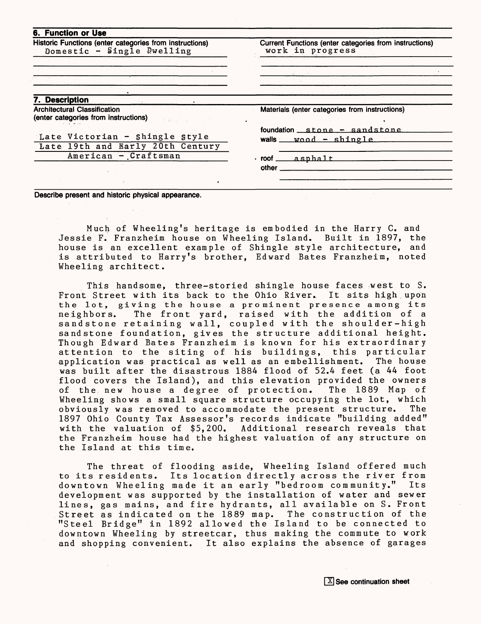| <b>6. Function or Use</b>                                                             |                                                                            |
|---------------------------------------------------------------------------------------|----------------------------------------------------------------------------|
| Historic Functions (enter categories from instructions)<br>Domestic - Single Dwelling | Current Functions (enter categories from instructions)<br>work in progress |
|                                                                                       |                                                                            |
|                                                                                       |                                                                            |
|                                                                                       |                                                                            |
|                                                                                       |                                                                            |
|                                                                                       |                                                                            |
| 7. Description                                                                        |                                                                            |
| <b>Architectural Classification</b><br>(enter categories from instructions)           | Materials (enter categories from instructions)                             |
|                                                                                       | foundation $\mathsf{stone}$ $\mathsf{.}$ sandstone                         |
| Late Victorian - shingle style                                                        | walls $wood - shinele$                                                     |
| Late 19th and Early 20th Century                                                      |                                                                            |
| American - Craftsman                                                                  | $root$ asphalt                                                             |
|                                                                                       | other.                                                                     |
|                                                                                       |                                                                            |
|                                                                                       |                                                                            |

**Describe present and historic physical appearance.**

Much of Wheeling's heritage is embodied in the Harry C. and Jessie F. Franzheim house on Wheeling Island. Built in 1897, the house is an excellent example of Shingle style architecture, is attributed to Harry's brother, Edward Bates Franzheim, noted Wheeling architect.

This handsome, three-storied shingle house faces west to S. Front Street with its back to the Ohio River. It sits high upon the lot, giving the house a prominent presence among its The front yard, raised with the addition of a sandstone retaining wall, coupled with the shoulder-high sandstone recarning wait, coupled with the should enight.<br>sandstone foundation, gives the structure additional height. Though Edward Bates Franzheim is known for his extraordinary attention to the siting of his buildings, this particular application was practical as well as an embellishment. The house was built after the disastrous 1884 flood of 52.4 feet (a 44 foot flood covers the Island), and this elevation provided the owners<br>of the new house a degree of protection. The 1889 Map of of the new house a degree of protection. Wheeling shows a small square structure occupying the lot, which<br>obviously was removed to accommodate the present structure. The obviously was removed to accommodate the present structure. 1897 Ohio County Tax Assessor's records indicate "building added" with the valuation of \$5,200. Additional research reveals that the Franzheim house had the highest valuation of any structure on the Island at this time.

The threat of flooding aside, Wheeling Island offered much to its residents. Its location directly across the river from<br>downtown Wheeling made it an early "bedroom community." Its downtown Wheeling made it an early "bedroom community." development was supported by the installation of water and sewer lines, gas mains, and fire hydrants, all available on S. Front Street as indicated on the 1889 map. The construction of the "Steel Bridge" in 1892 allowed the Island to be connected to downtown Wheeling by streetcar, thus making the commute to work and shopping convenient. It also explains the absence of garages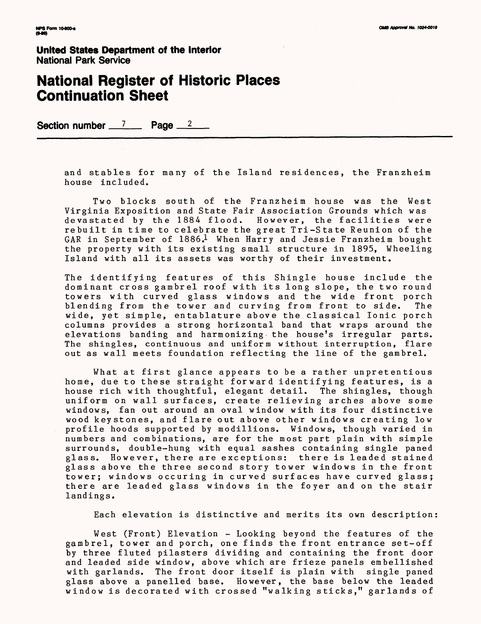#### **National Register of Historic Places Continuation Sheet**

Section number <sup>7</sup> Page <sup>2</sup>

and stables for many of the Island residences, the Franzheim house included.

Two blocks south of the Franzheim house was the West Virginia Exposition and State Fair Association Grounds which was devastated by the 1884 flood. However, the facilities were rebuilt in time to celebrate the great Tri-State Reunion of the GAR in September of  $1886<sup>1</sup>$  When Harry and Jessie Franzheim bought the property with its existing small structure in 1895, Wheeling Island with all its assets was worthy of their investment.

The identifying features of this Shingle house include the dominant cross gambrel roof with its long slope, the two round towers with curved glass windows and the wide front porch<br>blending from the tower and curving from front to side. The blending from the tower and curving from front to side. wide, yet simple, entablature above the classical Ionic porch columns provides a strong horizontal band that wraps around the elevations banding and harmonizing the house's irregular parts. The shingles, continuous and uniform without interruption, flare out as wall meets foundation reflecting the line of the gambrel.

What at first glance appears to be a rather unpretentious home, due to these straight forward identifying features, is a house rich with thoughtful, elegant detail. The shingles, though uniform on wall surfaces, create relieving arches above some windows, fan out around an oval window with its four distinctive wood keystones, and flare out above other windows creating low profile hoods supported by modillions. Windows, though varied in numbers and combinations, are for the most part plain with simple surrounds, double-hung with equal sashes containing single paned glass. However, there are exceptions: there is leaded stained glass above the three second story tower windows in the front tower; windows occuring in curved surfaces have curved glass; there are leaded glass windows in the foyer and on the stair landings.

Each elevation is distinctive and merits its own description

West (Front) Elevation - Looking beyond the features of the gambrel, tower and porch, one finds the front entrance set-off by three fluted pilasters dividing and containing the front door and leaded side window, above which are frieze panels embellished with garlands. The front door itself is plain with single paned glass above a panelled base. However, the base below the leaded window is decorated with crossed "walking sticks," garlands of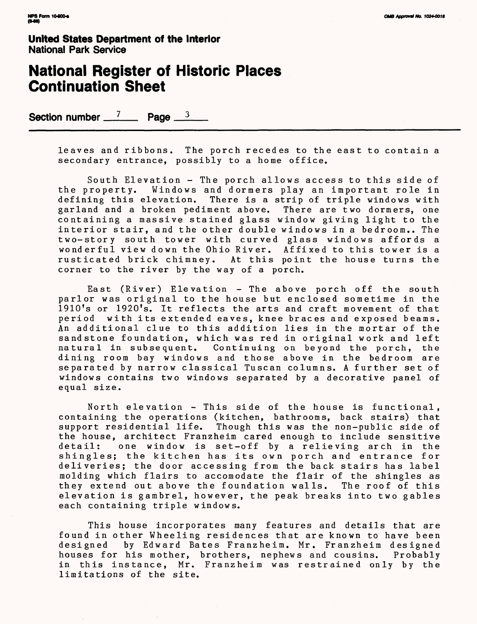#### **National Register of Historic Places Continuation Sheet**

Section number  $\frac{7}{2}$  Page  $\frac{3}{2}$ 

leaves and ribbons. The porch recedes to the east to contain a secondary entrance, possibly to a home office.

South Elevation - The porch allows access to this side of the property. Windows and dormers play an important role in defining this elevation. There is a strip of triple windows with garland and a broken pediment above. There are two dormers, one containing a massive stained glass window giving light to the interior stair, and the other double windows in a bedroom.. The two-story south tower with curved glass windows affords a wonderful view down the Ohio River. Affixed to this tower is a rusticated brick chimney. At this point the house turns the corner to the river by the way of a porch.

East (River) Elevation - The above porch off the south parlor was original to the house but enclosed sometime in the 1910's or 1920's. It reflects the arts and craft movement of that period with its extended eaves, knee braces and exposed beams. An additional clue to this addition lies in the mortar of the sandstone foundation, which was red in original work and left natural in subsequent. Continuing on beyond the porch, the dining room bay windows and those above in the bedroom are separated by narrow classical Tuscan columns. A further set of windows contains two windows separated by a decorative panel of equal size.

North elevation - This side of the house is functional, containing the operations (kitchen, bathrooms, back stairs) that support residential life. Though this was the non-public side of the house, architect Franzheim cared enough to include sensitive one window is set-off by a relieving arch in the shingles; the kitchen has its own porch and entrance for deliveries; the door accessing from the back stairs has label molding which flairs to accomodate the flair of the shingles as they extend out above the foundation walls. The roof of this elevation is gambrel, however, the peak breaks into two gables each containing triple windows.

This house incorporates many features and details that are found in other Wheeling residences that are known to have been<br>designed by Edward Bates Franzheim. Mr. Franzheim designed by Edward Bates Franzheim. Mr. Franzheim designed<br>r his mother, brothers, nephews and cousins. Probably houses for his mother, brothers, nephews and cousins. in this instance, Mr. Franzheim was restrained only by the limitations of the site.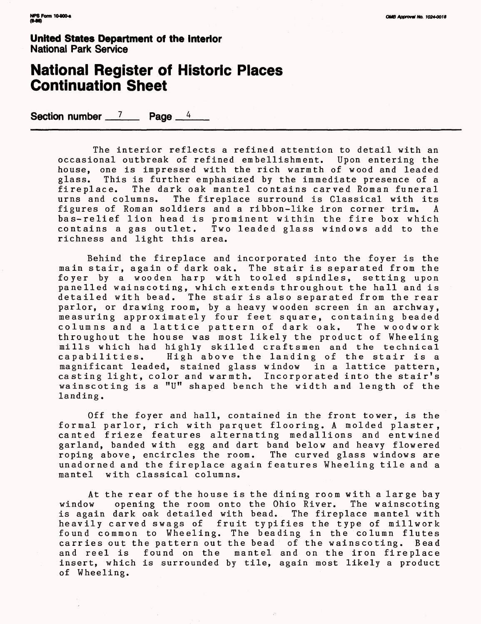#### **National Register of Historic Places Continuation Sheet**

Section number  $\frac{7}{2}$  Page  $\frac{4}{4}$ 

The interior reflects a refined attention to detail with an occasional outbreak of refined embellishment. Upon entering the house, one is impressed with the rich warmth of wood and leaded<br>glass. This is further emphasized by the immediate presence of a This is further emphasized by the immediate presence of a fireplace. The dark oak mantel contains carved Roman funeral The fireplace surround is Classical with its<br>bldiers and a ribbon-like iron corner trim, A figures of Roman soldiers and a ribbon-like iron corner trim. A bas-relief lion head is prominent within the fire box which contains a gas outlet. Two leaded glass windows add to the richness and light this area.

Behind the fireplace and incorporated into the foyer is the main stair, again of dark oak. The stair is separated from the foyer by a wooden harp with tooled spindles, setting upon panelled wainscoting, which extends throughout the hall and is detailed with bead. The stair is also separated from the rear parlor, or drawing room, by a heavy wooden screen in an archway, measuring approximately four feet square, containing beaded columns and a lattice pattern of dark oak. throughout the house was most likely the product of Wheeling mills which had highly skilled craftsmen and the technical<br>capabilities. High above the landing of the stair is a High above the landing of the stair is a magnificant leaded, stained glass window in a lattice pattern, casting light, color and warmth. Incorporated into the stair's wainscoting is a "U" shaped bench the width and length of the landing.

Off the foyer and hall, contained in the front tower, is the formal parlor, rich with parquet flooring. A molded plaster, canted frieze features alternating medallions and entwined garland, banded with egg and dart band below and heavy flowered roping above, encircles the room. The curved glass windows are unadorned and the fireplace again features Wheeling tile and a with classical columns.

At the rear of the house is the dining room with a large bay<br>window opening the room onto the Ohio River. The wainscoting opening the room onto the Ohio River. The wainscoting is again dark oak detailed with bead. The fireplace mantel with heavily carved swags of fruit typifies the type of millwork found common to Wheeling. The beading in the column flutes carries out the pattern out the bead of the wainscoting. Bead<br>and reel is found on the mantel and on the iron fireplace found on the mantel and on the iron fireplace insert, which is surrounded by tile, again most likely a product of Wheeling.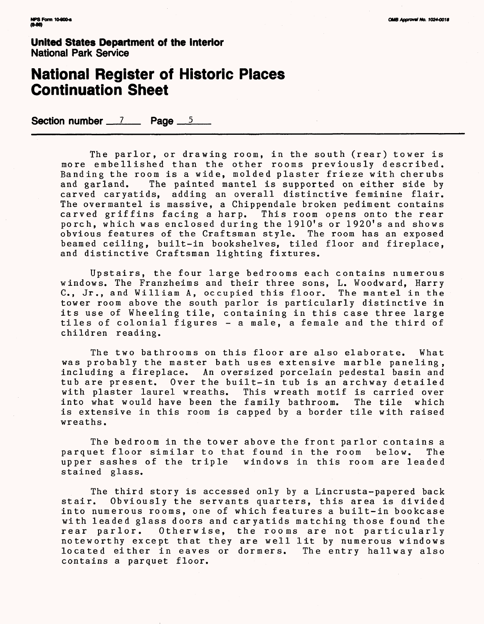#### **National Register of Historic Places Continuation Sheet**

Section number 7 Page 5

The parlor, or drawing room, in the south (rear) tower is more embellished than the other rooms previously described. Banding the room is a wide, molded plaster frieze with cherubs<br>and garland. The painted mantel is supported on either side by The painted mantel is supported on either side by carved caryatids, adding an overall distinctive feminine flair. The overmantel is massive, a Chippendale broken pediment contains carved griffins facing a harp. This room opens onto the rear porch, which was enclosed during the 1910's or 1920's and shows obvious features of the Craftsman style. The room has an exposed beamed ceiling, built-in bookshelves, tiled floor and fireplace, and distinctive Craftsman lighting fixtures.

Upstairs, the four large bedrooms each contains numerous windows. The Franzheims and their three sons, L. Woodward, Harry C., Jr., and William A, occupied this floor. The mantel in the tower room above the south parlor is particularly distinctive in its use of Wheeling tile, containing in this case three large tiles of colonial figures - a male, a female and the third of children reading.

The two bathrooms on this floor are also elaborate. What was probably the master bath uses extensive marble paneling, including a fireplace. An oversized porcelain pedestal basin and tub are present. Over the built-in tub is an archway detailed This wreath motif is carried over<br>family bathroom. The tile which into what would have been the family bathroom. is extensive in this room is capped by a border tile with raised wreaths.

The bedroom in the tower above the front parlor contains a<br>let floor similar to that found in the room below. The parquet floor similar to that found in the room upper sashes of the triple windows in this room are leaded stained glass.

The third story is accessed only by a Lincrusta-papered back<br>stair. Obviously the servants quarters, this area is divided Obviously the servants quarters, this area is divided into numerous rooms, one of which features a built-in bookcase with leaded glass doors and caryatids matching those found the rear parlor. Otherwise, the rooms are not particularly noteworthy except that they are well lit by numerous windows<br>located either in eaves or dormers. The entry hallway also located either in eaves or dormers. contains a parquet floor.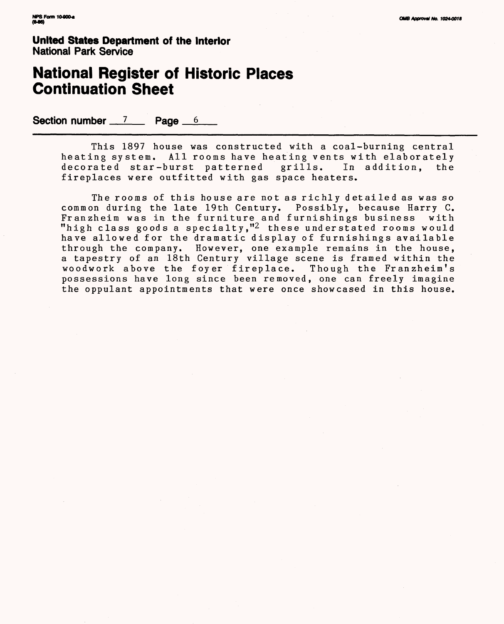#### **National Register of Historic Places Continuation Sheet**

Section number 7 Page 6

This 1897 house was constructed with a coal-burning central heating system. All rooms have heating vents with elaborately<br>decorated star-burst patterned grills. In addition, the decorated star-burst patterned fireplaces were outfitted with gas space heaters.

The rooms of this house are not as richly detailed as was so common during the late 19th Century. Possibly, because Harry C. Franzheim was in the furniture and furnishings business with "high class goods a specialty,"2 these understated rooms would have allowed for the dramatic display of furnishings available through the company. However, one example remains in the house, a tapestry of an 18th Century village scene is framed within the woodwork above the foyer fireplace. Though the Franzheim's possessions have long since been removed, one can freely imagine the oppulant appointments that were once showcased in this house.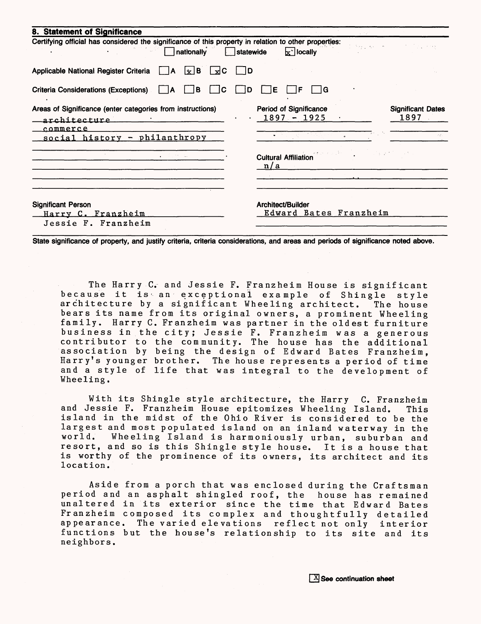| 8. Statement of Significance                                                                                            |            |     |                                                |                             |                        |                                                                                                                       |
|-------------------------------------------------------------------------------------------------------------------------|------------|-----|------------------------------------------------|-----------------------------|------------------------|-----------------------------------------------------------------------------------------------------------------------|
| Certifying official has considered the significance of this property in relation to other properties:<br>nationally     | Istatewide |     | $x^{\text{-}}$ locally                         |                             | District Art Committee | <b>Contract Contract</b>                                                                                              |
| Applicable National Register Criteria<br>$\lfloor x \rfloor$ B $\lfloor x \rfloor$ C<br>I٨                              | 1 ID       |     |                                                |                             |                        |                                                                                                                       |
| <b>Criteria Considerations (Exceptions)</b><br>l B<br>C<br>A                                                            | D          | Е   | F                                              | ١G                          |                        |                                                                                                                       |
| Areas of Significance (enter categories from instructions)<br>architecture<br>commerce<br>social history - philanthropy |            |     | <b>Period of Significance</b><br>$1897 - 1925$ |                             |                        | <b>Significant Dates</b><br>1897                                                                                      |
| $\bullet$ . The fit of the second state $\mathcal{L}$                                                                   |            | n/a |                                                | <b>Cultural Affiliation</b> |                        | $\mathcal{L}^{\mathcal{L}}$ and $\mathcal{L}^{\mathcal{L}}$ are the set of the set of the $\mathcal{L}^{\mathcal{L}}$ |
| <b>Significant Person</b><br>Harry C. Franzheim<br>Jessie F. Franzheim                                                  |            |     | Architect/Builder                              |                             | Edward Bates Franzheim |                                                                                                                       |

**State significance of property, and justify criteria, criteria considerations, and areas and periods of significance noted above.**

The Harry C. and Jessie F. Franzheim House is significant because it is an exceptional example of Shingle style<br>architecture by a significant Wheeling architect. The house architecture by a significant Wheeling architect. bears its name from its original owners, a prominent Wheeling family. Harry C. Franzheim was partner in the oldest furniture business in.the city; Jessie F. Franzheim was a generous contributor to the community. The house has the additional association by being the design of Edward Bates Franzheim, Harry's younger brother. The house represents a period of time and a style of life that was integral to the development of Wheeling.

With its Shingle style architecture, the Harry C. Franzheim and Jessie F. Franzheim House epitomizes Wheeling Island. This island in the midst of the Ohio River is considered to be the largest and most populated island on an inland waterway in the<br>world. Wheeling Island is harmoniously urban, suburban and Wheeling Island is harmoniously urban, suburban and resort, and so is this Shingle style house. It is a house that is worthy of the prominence of its owners, its architect and its location.

Aside from a porch that was enclosed during the Craftsman period and an asphalt shingled roof, the house has remained unaltered in its exterior since the time that Edward Bates Franzheim composed its complex and thoughtfully detailed appearance. The varied elevations reflect not only interior functions but the house's relationship to its site and its neighbors.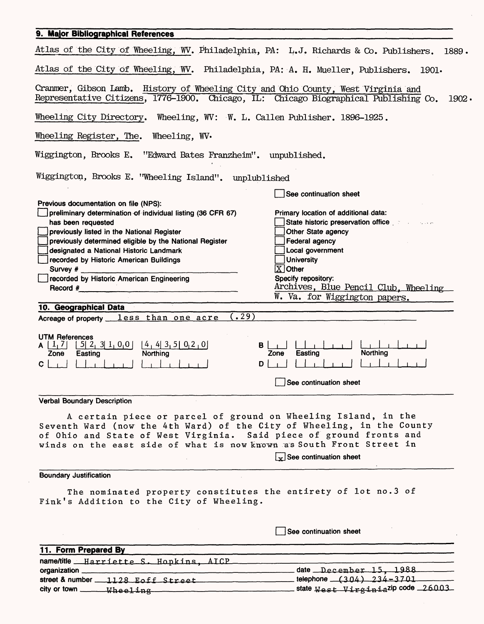| 9. Major Bibliographical References                                                                                                                                                                                                                                                                                                                                                                                                                                                                                                                                                                                                                                                                                                                                                                                                                                                     |                                                                                                                                                                                                                                                                                                                                                           |
|-----------------------------------------------------------------------------------------------------------------------------------------------------------------------------------------------------------------------------------------------------------------------------------------------------------------------------------------------------------------------------------------------------------------------------------------------------------------------------------------------------------------------------------------------------------------------------------------------------------------------------------------------------------------------------------------------------------------------------------------------------------------------------------------------------------------------------------------------------------------------------------------|-----------------------------------------------------------------------------------------------------------------------------------------------------------------------------------------------------------------------------------------------------------------------------------------------------------------------------------------------------------|
| Atlas of the City of Wheeling, WV. Philadelphia, PA: L.J. Richards & Co. Publishers. 1889.                                                                                                                                                                                                                                                                                                                                                                                                                                                                                                                                                                                                                                                                                                                                                                                              |                                                                                                                                                                                                                                                                                                                                                           |
| Atlas of the City of Wheeling, WV. Philadelphia, PA: A. H. Mueller, Publishers. 1901.                                                                                                                                                                                                                                                                                                                                                                                                                                                                                                                                                                                                                                                                                                                                                                                                   |                                                                                                                                                                                                                                                                                                                                                           |
| Cranmer, Gibson Lamb. History of Wheeling City and Ohio County, West Virginia and<br>Representative Citizens, 1776-1900. Chicago, IL: Chicago Biographical Publishing Co.                                                                                                                                                                                                                                                                                                                                                                                                                                                                                                                                                                                                                                                                                                               | $1902 \cdot$                                                                                                                                                                                                                                                                                                                                              |
| Wheeling City Directory. Wheeling, WV: W. L. Callen Publisher. 1896-1925.                                                                                                                                                                                                                                                                                                                                                                                                                                                                                                                                                                                                                                                                                                                                                                                                               |                                                                                                                                                                                                                                                                                                                                                           |
| Wheeling Register, The. Wheeling, WV.                                                                                                                                                                                                                                                                                                                                                                                                                                                                                                                                                                                                                                                                                                                                                                                                                                                   |                                                                                                                                                                                                                                                                                                                                                           |
| Wiggington, Brooks E. "Edward Bates Franzheim". unpublished.                                                                                                                                                                                                                                                                                                                                                                                                                                                                                                                                                                                                                                                                                                                                                                                                                            |                                                                                                                                                                                                                                                                                                                                                           |
| Wiggington, Brooks E. "Wheeling Island". unplublished                                                                                                                                                                                                                                                                                                                                                                                                                                                                                                                                                                                                                                                                                                                                                                                                                                   |                                                                                                                                                                                                                                                                                                                                                           |
|                                                                                                                                                                                                                                                                                                                                                                                                                                                                                                                                                                                                                                                                                                                                                                                                                                                                                         | See continuation sheet                                                                                                                                                                                                                                                                                                                                    |
| Previous documentation on file (NPS):<br>preliminary determination of individual listing (36 CFR 67)<br>has been requested<br>previously listed in the National Register<br>previously determined eligible by the National Register<br>designated a National Historic Landmark<br>recorded by Historic American Buildings<br>recorded by Historic American Engineering<br>Record $#$ <b>Example 2.1 Example 2.1 <b>Example 2.1 Example 2.1 Example 2.1 Example 2.1 Example 2.1 Example 2.1 Example 2.1 Example 2.1 Example 2.1 Example 2.1 Example 2.1 Example 2.1 Example 2.1 </b></b><br>10. Geographical Data<br>(4.29)<br>Acreage of property less than one acre<br><b>UTM References</b><br>$\begin{bmatrix} 5 & 2 & 3 & 1 & 0 & 0 \end{bmatrix}$ $\begin{bmatrix} 4 & 4 & 3 & 5 & 0 & 2 & 0 \end{bmatrix}$<br>A $\lfloor \frac{1}{2} \rfloor$<br>Northing<br>Easting<br>Zone<br>С | Primary location of additional data:<br>State historic preservation office<br>Other State agency<br><b>Federal agency</b><br>Local government<br><b>University</b><br>$X$ Other<br>Specify repository:<br>Archives, Blue Pencil Club, Wheeling<br>W. Va. for Wiggington papers.<br>В<br><b>Northing</b><br>Easting<br>Zone<br>D<br>See continuation sheet |
| <b>Verbal Boundary Description</b>                                                                                                                                                                                                                                                                                                                                                                                                                                                                                                                                                                                                                                                                                                                                                                                                                                                      |                                                                                                                                                                                                                                                                                                                                                           |
| A certain piece or parcel of ground on Wheeling Island, in the<br>Seventh Ward (now the 4th Ward) of the City of Wheeling, in the County<br>of Ohio and State of West Virginia. Said piece of ground fronts and<br>winds on the east side of what is now known as South Front Street in                                                                                                                                                                                                                                                                                                                                                                                                                                                                                                                                                                                                 | $x$ See continuation sheet                                                                                                                                                                                                                                                                                                                                |
| <b>Boundary Justification</b>                                                                                                                                                                                                                                                                                                                                                                                                                                                                                                                                                                                                                                                                                                                                                                                                                                                           |                                                                                                                                                                                                                                                                                                                                                           |
| The nominated property constitutes the entirety of lot no.3 of<br>Fink's Addition to the City of Wheeling.                                                                                                                                                                                                                                                                                                                                                                                                                                                                                                                                                                                                                                                                                                                                                                              |                                                                                                                                                                                                                                                                                                                                                           |
|                                                                                                                                                                                                                                                                                                                                                                                                                                                                                                                                                                                                                                                                                                                                                                                                                                                                                         | See continuation sheet                                                                                                                                                                                                                                                                                                                                    |
|                                                                                                                                                                                                                                                                                                                                                                                                                                                                                                                                                                                                                                                                                                                                                                                                                                                                                         |                                                                                                                                                                                                                                                                                                                                                           |
| 11. Form Prepared By                                                                                                                                                                                                                                                                                                                                                                                                                                                                                                                                                                                                                                                                                                                                                                                                                                                                    |                                                                                                                                                                                                                                                                                                                                                           |
| name/title Harriette S. Hopkins, AICP                                                                                                                                                                                                                                                                                                                                                                                                                                                                                                                                                                                                                                                                                                                                                                                                                                                   |                                                                                                                                                                                                                                                                                                                                                           |
|                                                                                                                                                                                                                                                                                                                                                                                                                                                                                                                                                                                                                                                                                                                                                                                                                                                                                         | date December 15, 1988<br>telephone (304) 234-3701                                                                                                                                                                                                                                                                                                        |

 $\mathcal{A}^{(1)}$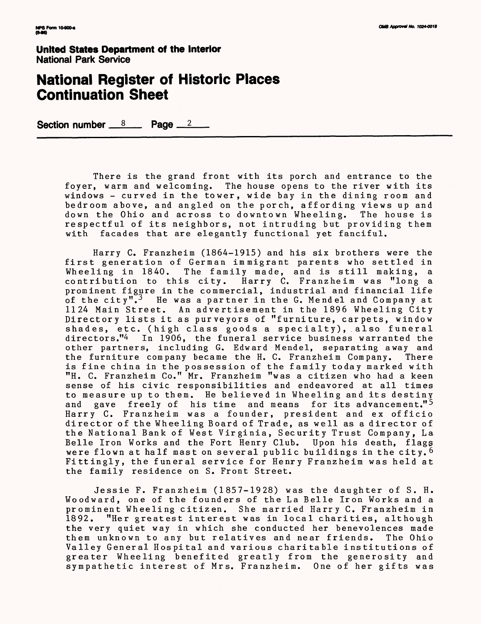#### **National Register of Historic Places Continuation Sheet**

**Section number 8 Page 2** 

There is the grand front with its porch and entrance to the foyer, warm and welcoming. The house opens to the river with its windows - curved in the tower, wide bay in the dining room and bedroom above, and angled on the porch, affording views up and<br>down the Ohio and across to downtown Wheeling. The house is down the Ohio and across to downtown Wheeling. respectful of its neighbors, not intruding but providing them with facades that are elegantly functional yet fanciful.

Harry C. Franzheim (1864-1915) and his six brothers were the first generation of German immigrant parents who settled in first generation of German immigrant parents who settled in<br>Wheeling in 1840. The family made, and is still making, a contribution to this city. Harry C. Franzheim was "long a prominent figure in the commercial, industrial and financial life of the city".<sup>3</sup> He was a partner in the G. Mendel and Company at 1124 Main Street. An advertisement in the 1896 Wheeling City Directory lists it as purveyors of "furniture, carpets, window shades, etc. (high class goods a specialty), also funeral directors."4 In 1906, the funeral service business warranted the In 1906, the funeral service business warranted the other partners, including G. Edward Mendel, separating away and the furniture company became the H. C. Franzheim Company. There is fine china in the possession of the family today marked with "H. C. Franzheim Co." Mr. Franzheim "was a citizen who had a keen sense of his civic responsibilities and endeavored at all times to measure up to them. He believed in Wheeling and its destiny<br>and gave freely of his time and means for its advancement."<sup>5</sup> gave freely of his time and means for its advancement."<sup>5</sup> Harry C. Franzheim was a founder, president and ex officio director of the Wheeling Board of Trade, as well as a director of the National Bank of West Virginia, Security Trust Company, La Belle Iron Works and the Fort Henry Club. Upon his death, flags were flown at half mast on several public buildings in the city.<sup>6</sup> Fittingly, the funeral service for Henry Franzheim was held at the family residence on S. Front Street.

Jessie F. Franzheim (1857-1928) was the daughter of S. H. Woodward, one of the founders of the La Belle Iron Works and a prominent Wheeling citizen. She married Harry C. Franzheim in<br>1892. "Her greatest interest was in local charities, although "Her greatest interest was in local charities, although the very quiet way in which she conducted her benevolences made them unknown to any but relatives and near friends. The Ohio Valley General Hospital and various charitable institutions of greater Wheeling benefited greatly from the generosity and sympathetic interest of Mrs. Franzheim. One of her gifts was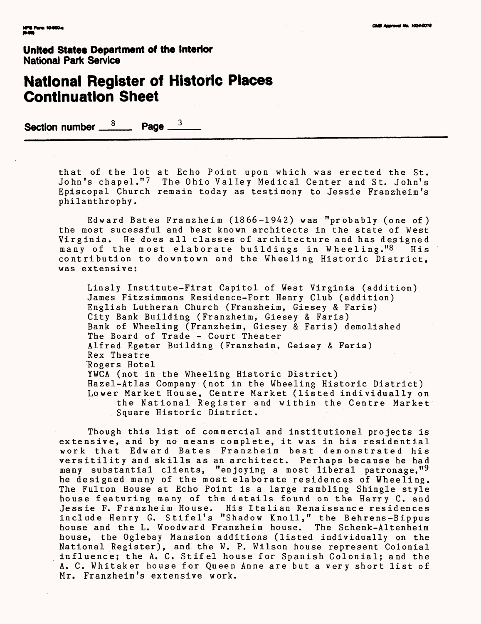#### **National Register of Historic Places Continuation Sheet**

Section number  $\frac{8}{2}$  Page  $\frac{3}{2}$ 

that of the lot at Echo Point upon which was erected the St. John's chapel."7 The Ohio Valley Medical Center and St. John's Episcopal Church remain today as testimony to Jessie Franzheim's philanthrophy.

Edward Bates Franzheim (1866-1942) was "probably (one of) the most sucessful and best known architects in the state of West Virginia. He does all classes of architecture and has designed<br>many of the most elaborate buildings in Wheeling."8 His virginia. He does all classes of anchifecture and has designed<br>many of the most elaborate buildings in Wheeling."8 His many of the most elaborate buildings in wheeling. O his<br>contribution to downtown and the Wheeling Historic District, was extensive:

Linsly Institute-First Capitol of West Virginia (addition) James Fitzsimmons Residence-Fort Henry Club (addition) English Lutheran Church (Franzheim, Giesey & Paris) City Bank Building (Franzheim, Giesey & Faris) Bank of Wheeling (Franzheim, Giesey & Faris) demolished The Board of Trade - Court Theater Alfred Egeter Building (Franzheim, Geisey & Faris) Rex Theatre Rogers Hotel YWCA (not in the Wheeling Historic District) Hazel-Atlas Company (not in the Wheeling Historic District) Lower Market House, Centre Market (listed individually on the National Register and within the Centre Market Square Historic District.

Though this list of commercial and institutional projects is extensive, and by no means complete, it was in his residential work that Edward Bates Franzheim best demonstrated his versitility and skills as an architect. Perhaps because he had many substantial clients, "enjoying a most liberal patronage, "9 he designed many of the most elaborate residences of Wheeling. The Fulton House at Echo Point is a large rambling Shingle style house featuring many of the details found on the Harry C. and Jessie F. Franzheim House. His Italian Renaissance residences include Henry G. Stifel's "Shadow Knoll," the Behrens-Bippus house and the L. Woodward Franzheim house. The Schenk-Altenheim house, the Oglebay Mansion additions (listed individually on the National Register), and the W. P. Wilson house represent Colonial influence; the A. C. Stifel house for Spanish Colonial; and the A. C. Whitaker house for Queen Anne are but *a* very short list of Mr. Franzheim's extensive work.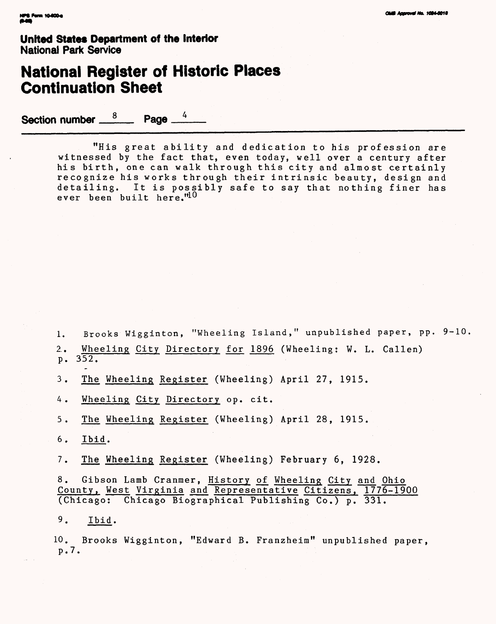## **National Register of Historic Places Continuation Sheet**

Section number  $\frac{8}{2}$ Page \_

> "His great ability and dedication to his profession are witnessed by the fact that, even today, well over a century after his birth, one can walk through this city and almost certainly recognize his works through their intrinsic beauty, design and detailing. It is possibly safe to say that nothing finer has ever been built here."10

1. Brooks Wigginton, "Wheeling Island," unpublished paper, pp. 9-10

2.. Wheeling City Directory for 1896 (Wheeling: W. L. Callen) p. 352.

3. The Wheeling Register (Wheeling) April 27, 1915.

4. Wheeling City Directory op. cit.

5. The Wheeling Register (Wheeling) April 28, 1915.

6. Ibid.

7. The Wheeling Register (Wheeling) February 6, 1928.

8. Gibson Lamb Cranmer, History of Wheeling City and Ohio County, West Virginia and Representative Citizens, 1776-1900 (Chicago: Chicago Biographical Publishing Co.) p. 331.

9. Ibid.

10. Brooks Wigginton, "Edward B. Franzheim" unpublished paper, p. 7.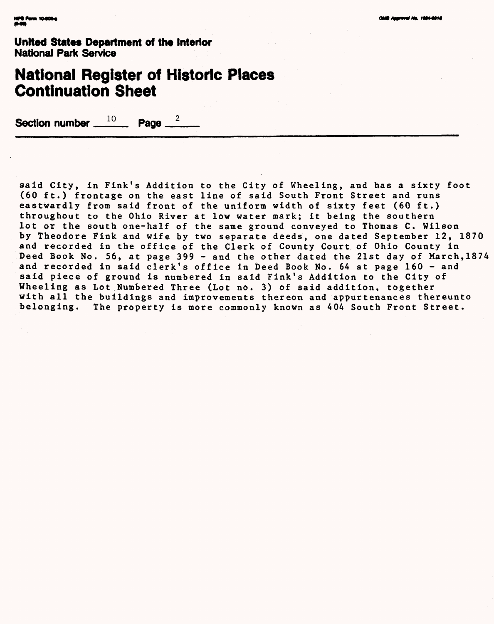## **National Register of Historic Places Continuation Sheet**

**Section number 10 Page**  $\overline{\phantom{a}}$ 

said City, in Fink's Addition to the City of Wheeling, and has a sixty foot (60 ft.) frontage on the east line of said South Front Street and runs eastwardly from said front of the uniform width of sixty feet (60 ft.) throughout to the Ohio River at low water mark; it being the southern lot or the south one-half of the same ground conveyed to Thomas C. Wilson by Theodore Fink and wife by two separate deeds, one dated September 12, 1870 and recorded in the office of the Clerk of County Court of Ohio County in Deed Book No. 56, at page 399 - and the other dated the 21st day of March,1874 and recorded in said clerk's office in Deed Book No. 64 at page 160 - and said piece of ground is numbered in said Fink's Addition to the City of Wheeling as Lot Numbered Three (Lot no. 3) of said addition, together with all the buildings and improvements thereon and appurtenances thereunto belonging. The property is more commonly known as 404 South Front Street.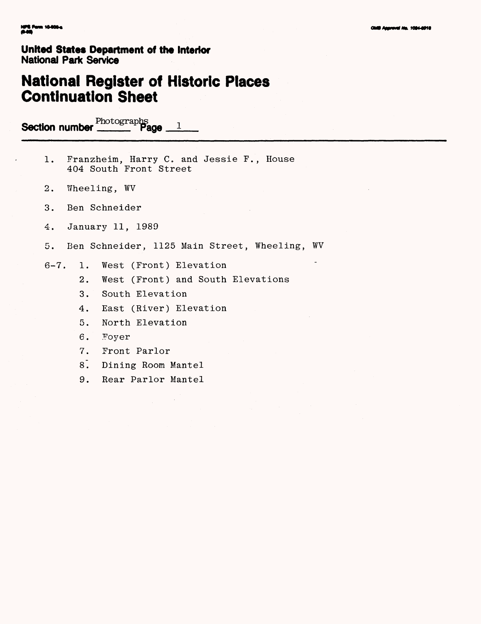# **National Register of Historic Places Continuation Sheet**

**Section number Photographs** 2

- 1. Franzheim, Harry C. and Jessie F., House 404 South Front Street
- 2. Wheeling, WV
- 3. Ben Schneider
- 4. January 11, 1989
- 5. Ben Schneider, 1125 Main Street, Wheeling, WV
- 6-7. 1. West (Front) Elevation
	- 2. West (Front) and South Elevations
	- 3. South Elevation
	- 4. East (River) Elevation
	- 5. North Elevation
	- 6. Foyer
	- 7. Front Parlor
	- 8. Dining Room Mantel
	- 9. Rear Parlor Mantel